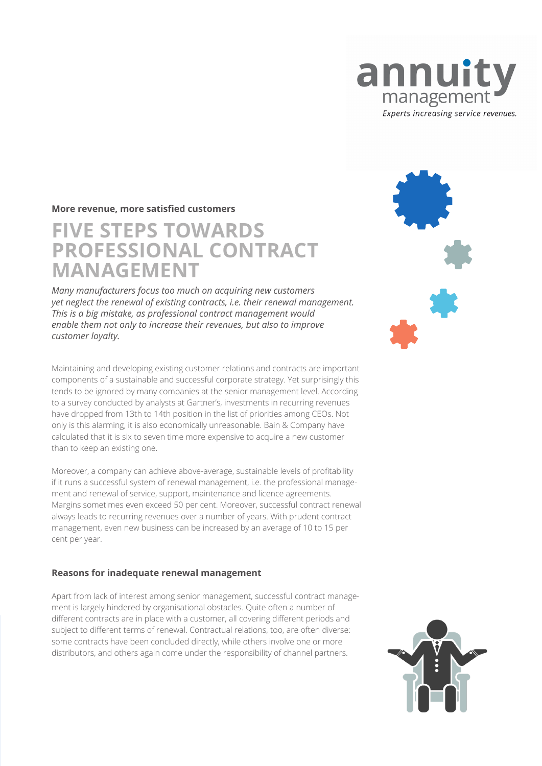

#### **More revenue, more satisfied customers**

# **FIVE STEPS TOWARDS PROFESSIONAL CONTRACT MANAGEMENT**

*Many manufacturers focus too much on acquiring new customers yet neglect the renewal of existing contracts, i.e. their renewal management. This is a big mistake, as professional contract management would enable them not only to increase their revenues, but also to improve customer loyalty.*

Maintaining and developing existing customer relations and contracts are important components of a sustainable and successful corporate strategy. Yet surprisingly this tends to be ignored by many companies at the senior management level. According to a survey conducted by analysts at Gartner's, investments in recurring revenues have dropped from 13th to 14th position in the list of priorities among CEOs. Not only is this alarming, it is also economically unreasonable. Bain & Company have calculated that it is six to seven time more expensive to acquire a new customer than to keep an existing one.

Moreover, a company can achieve above-average, sustainable levels of profitability if it runs a successful system of renewal management, i.e. the professional management and renewal of service, support, maintenance and licence agreements. Margins sometimes even exceed 50 per cent. Moreover, successful contract renewal always leads to recurring revenues over a number of years. With prudent contract management, even new business can be increased by an average of 10 to 15 per cent per year.

#### **Reasons for inadequate renewal management**

Apart from lack of interest among senior management, successful contract management is largely hindered by organisational obstacles. Quite often a number of different contracts are in place with a customer, all covering different periods and subject to different terms of renewal. Contractual relations, too, are often diverse: some contracts have been concluded directly, while others involve one or more distributors, and others again come under the responsibility of channel partners.



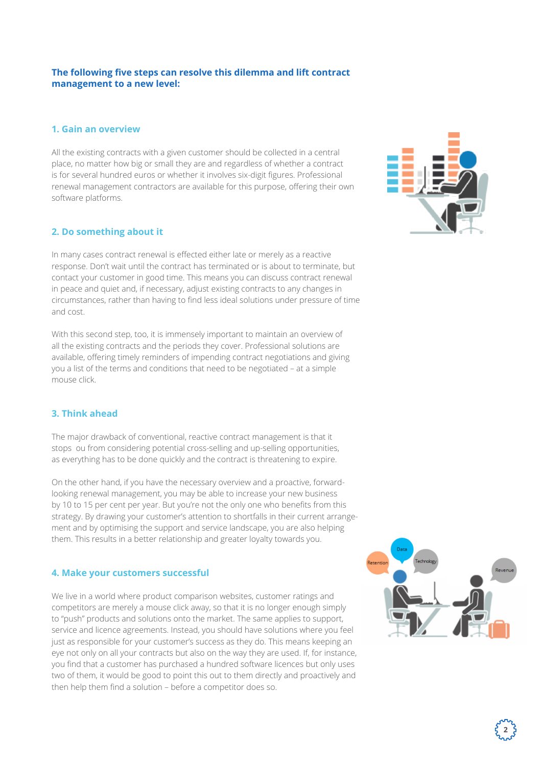## **The following five steps can resolve this dilemma and lift contract management to a new level:**

## **1. Gain an overview**

All the existing contracts with a given customer should be collected in a central place, no matter how big or small they are and regardless of whether a contract is for several hundred euros or whether it involves six-digit figures. Professional renewal management contractors are available for this purpose, offering their own software platforms.

## **2. Do something about it**

In many cases contract renewal is effected either late or merely as a reactive response. Don't wait until the contract has terminated or is about to terminate, but contact your customer in good time. This means you can discuss contract renewal in peace and quiet and, if necessary, adjust existing contracts to any changes in circumstances, rather than having to find less ideal solutions under pressure of time and cost.

With this second step, too, it is immensely important to maintain an overview of all the existing contracts and the periods they cover. Professional solutions are available, offering timely reminders of impending contract negotiations and giving you a list of the terms and conditions that need to be negotiated – at a simple mouse click.

## **3. Think ahead**

The major drawback of conventional, reactive contract management is that it stops ou from considering potential cross-selling and up-selling opportunities, as everything has to be done quickly and the contract is threatening to expire.

On the other hand, if you have the necessary overview and a proactive, forwardlooking renewal management, you may be able to increase your new business by 10 to 15 per cent per year. But you're not the only one who benefits from this strategy. By drawing your customer's attention to shortfalls in their current arrangement and by optimising the support and service landscape, you are also helping them. This results in a better relationship and greater loyalty towards you.

#### **4. Make your customers successful**

We live in a world where product comparison websites, customer ratings and competitors are merely a mouse click away, so that it is no longer enough simply to "push" products and solutions onto the market. The same applies to support, service and licence agreements. Instead, you should have solutions where you feel just as responsible for your customer's success as they do. This means keeping an eye not only on all your contracts but also on the way they are used. If, for instance, you find that a customer has purchased a hundred software licences but only uses two of them, it would be good to point this out to them directly and proactively and then help them find a solution – before a competitor does so.



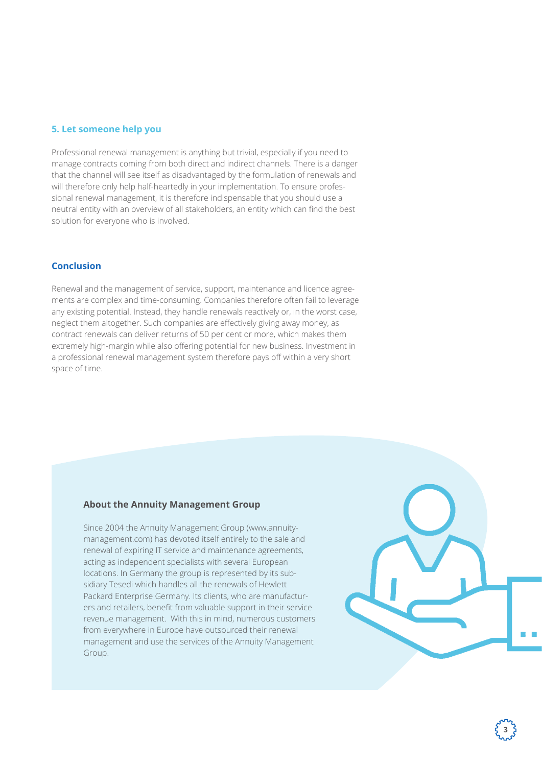## **5. Let someone help you**

Professional renewal management is anything but trivial, especially if you need to manage contracts coming from both direct and indirect channels. There is a danger that the channel will see itself as disadvantaged by the formulation of renewals and will therefore only help half-heartedly in your implementation. To ensure professional renewal management, it is therefore indispensable that you should use a neutral entity with an overview of all stakeholders, an entity which can find the best solution for everyone who is involved.

#### **Conclusion**

Renewal and the management of service, support, maintenance and licence agreements are complex and time-consuming. Companies therefore often fail to leverage any existing potential. Instead, they handle renewals reactively or, in the worst case, neglect them altogether. Such companies are effectively giving away money, as contract renewals can deliver returns of 50 per cent or more, which makes them extremely high-margin while also offering potential for new business. Investment in a professional renewal management system therefore pays off within a very short space of time.

#### **About the Annuity Management Group**

Since 2004 the Annuity Management Group (www.annuitymanagement.com) has devoted itself entirely to the sale and renewal of expiring IT service and maintenance agreements, acting as independent specialists with several European locations. In Germany the group is represented by its subsidiary Tesedi which handles all the renewals of Hewlett Packard Enterprise Germany. Its clients, who are manufacturers and retailers, benefit from valuable support in their service revenue management. With this in mind, numerous customers from everywhere in Europe have outsourced their renewal management and use the services of the Annuity Management Group.



**3**